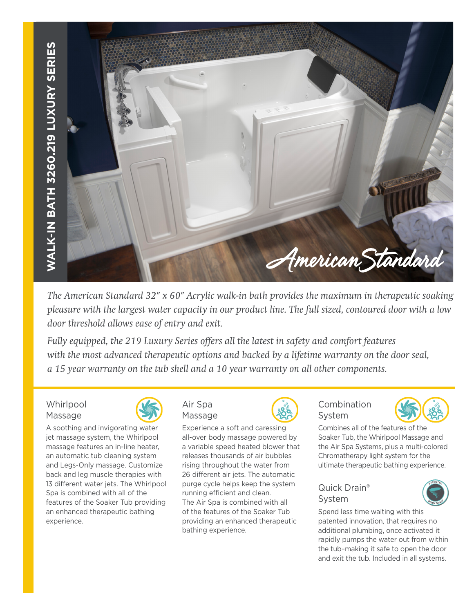

*The American Standard 32" x 60" Acrylic walk-in bath provides the maximum in therapeutic soaking pleasure with the largest water capacity in our product line. The full sized, contoured door with a low door threshold allows ease of entry and exit.* 

*Fully equipped, the 219 Luxury Series offers all the latest in safety and comfort features with the most advanced therapeutic options and backed by a lifetime warranty on the door seal, a 15 year warranty on the tub shell and a 10 year warranty on all other components.*

**Whirlpool** Massage



A soothing and invigorating water jet massage system, the Whirlpool massage features an in-line heater, an automatic tub cleaning system and Legs-Only massage. Customize back and leg muscle therapies with 13 different water jets. The Whirlpool Spa is combined with all of the features of the Soaker Tub providing an enhanced therapeutic bathing experience.



Experience a soft and caressing all-over body massage powered by a variable speed heated blower that releases thousands of air bubbles rising throughout the water from 26 different air jets. The automatic purge cycle helps keep the system running efficient and clean. The Air Spa is combined with all of the features of the Soaker Tub providing an enhanced therapeutic bathing experience.



## Combination System



Combines all of the features of the Soaker Tub, the Whirlpool Massage and the Air Spa Systems, plus a multi-colored Chromatherapy light system for the ultimate therapeutic bathing experience.

## Quick Drain® System



Spend less time waiting with this patented innovation, that requires no additional plumbing, once activated it rapidly pumps the water out from within the tub–making it safe to open the door and exit the tub. Included in all systems.